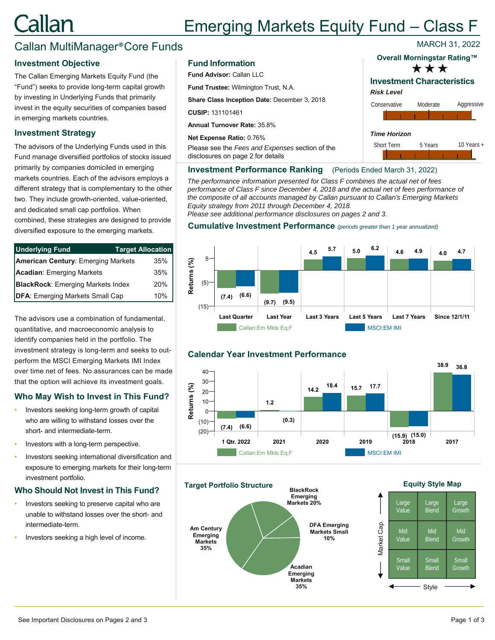# <u>`allan</u> Emerging Markets Equity Fund – Class F MARCH 31, 2022

# Callan MultiManager®Core Funds

## **Investment Objective**

The Callan Emerging Markets Equity Fund (the "Fund") seeks to provide long-term capital growth by investing in Underlying Funds that primarily invest in the equity securities of companies based in emerging markets countries.

## **Investment Strategy**

The advisors of the Underlying Funds used in this Fund manage diversified portfolios of stocks issued primarily by companies domiciled in emerging markets countries. Each of the advisors employs a different strategy that is complementary to the other two. They include growth-oriented, value-oriented, and dedicated small cap portfolios. When combined, these strategies are designed to provide diversified exposure to the emerging markets.

| <b>Underlying Fund</b>                    | <b>Target Allocation</b> |  |
|-------------------------------------------|--------------------------|--|
| <b>American Century: Emerging Markets</b> | 35%                      |  |
| Acadian: Emerging Markets                 | 35%                      |  |
| <b>BlackRock:</b> Emerging Markets Index  | 20%                      |  |
| <b>DFA: Emerging Markets Small Cap</b>    | 10%                      |  |

The advisors use a combination of fundamental, quantitative, and macroeconomic analysis to identify companies held in the portfolio. The investment strategy is long-term and seeks to outperform the MSCI Emerging Markets IMI Index over time net of fees. No assurances can be made that the option will achieve its investment goals.

# **Who May Wish to Invest in This Fund?**

- Investors seeking long-term growth of capital who are willing to withstand losses over the short- and intermediate-term.
- Investors with a long-term perspective.
- Investors seeking international diversification and exposure to emerging markets for their long-term investment portfolio.

## **Who Should Not Invest in This Fund?**

- Investors seeking to preserve capital who are unable to withstand losses over the short- and intermediate-term.
- Investors seeking a high level of income.

#### **Fund Information**

**Fund Advisor:** Callan LLC

**Fund Trustee:** Wilmington Trust, N.A.

**Share Class Inception Date:** December 3, 2018

**CUSIP:** 131101461

**Annual Turnover Rate:** 35.8%

**Net Expense Ratio:** 0.76%

Please see the *Fees and Expenses* section of the disclosures on page 2 for details

# \*\*\* **Overall Morningstar Rating™**

# **Investment Characteristics**

*Risk Level*



#### **Investment Performance Ranking** (Periods Ended March 31, 2022)

*The performance information presented for Class F combines the actual net of fees performance of Class F since December 4, 2018 and the actual net of fees performance of the composite of all accounts managed by Callan pursuant to Callan's Emerging Markets Equity strategy from 2011 through December 4, 2018.* 

*Please see additional performance disclosures on pages 2 and 3.*

#### **Cumulative Investment Performance** *(periods greater than 1 year annualized)*



# **Calendar Year Investment Performance**





#### **Equity Style Map**

|             | Large | Large        | Large        |
|-------------|-------|--------------|--------------|
|             | Value | <b>Blend</b> | Growth       |
| Market Cap. | Mid   | Mid          | Mid          |
|             | Value | <b>Blend</b> | Growth       |
|             | Small | Small        | <b>Small</b> |
|             | Value | <b>Blend</b> | Growth       |
|             |       | Style        |              |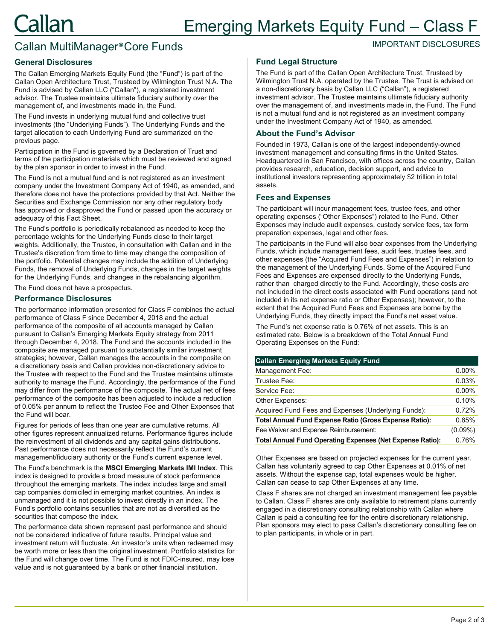# Callan MultiManager®Core Funds

## **General Disclosures**

The Callan Emerging Markets Equity Fund (the "Fund") is part of the Callan Open Architecture Trust, Trusteed by Wilmington Trust N.A. The Fund is advised by Callan LLC ("Callan"), a registered investment advisor. The Trustee maintains ultimate fiduciary authority over the management of, and investments made in, the Fund.

The Fund invests in underlying mutual fund and collective trust investments (the "Underlying Funds"). The Underlying Funds and the target allocation to each Underlying Fund are summarized on the previous page.

Participation in the Fund is governed by a Declaration of Trust and terms of the participation materials which must be reviewed and signed by the plan sponsor in order to invest in the Fund.

The Fund is not a mutual fund and is not registered as an investment company under the Investment Company Act of 1940, as amended, and therefore does not have the protections provided by that Act. Neither the Securities and Exchange Commission nor any other regulatory body has approved or disapproved the Fund or passed upon the accuracy or adequacy of this Fact Sheet.

The Fund's portfolio is periodically rebalanced as needed to keep the percentage weights for the Underlying Funds close to their target weights. Additionally, the Trustee, in consultation with Callan and in the Trustee's discretion from time to time may change the composition of the portfolio. Potential changes may include the addition of Underlying Funds, the removal of Underlying Funds, changes in the target weights for the Underlying Funds, and changes in the rebalancing algorithm.

The Fund does not have a prospectus.

#### **Performance Disclosures**

The performance information presented for Class F combines the actual performance of Class F since December 4, 2018 and the actual performance of the composite of all accounts managed by Callan pursuant to Callan's Emerging Markets Equity strategy from 2011 through December 4, 2018. The Fund and the accounts included in the composite are managed pursuant to substantially similar investment strategies; however, Callan manages the accounts in the composite on a discretionary basis and Callan provides non-discretionary advice to the Trustee with respect to the Fund and the Trustee maintains ultimate authority to manage the Fund. Accordingly, the performance of the Fund may differ from the performance of the composite. The actual net of fees performance of the composite has been adjusted to include a reduction of 0.05% per annum to reflect the Trustee Fee and Other Expenses that the Fund will bear.

Figures for periods of less than one year are cumulative returns. All other figures represent annualized returns. Performance figures include the reinvestment of all dividends and any capital gains distributions. Past performance does not necessarily reflect the Fund's current management/fiduciary authority or the Fund's current expense level.

The Fund's benchmark is the **MSCI Emerging Markets IMI Index**. This index is designed to provide a broad measure of stock performance throughout the emerging markets. The index includes large and small cap companies domiciled in emerging market countries. An index is unmanaged and it is not possible to invest directly in an index. The Fund's portfolio contains securities that are not as diversified as the securities that compose the index.

The performance data shown represent past performance and should not be considered indicative of future results. Principal value and investment return will fluctuate. An investor's units when redeemed may be worth more or less than the original investment. Portfolio statistics for the Fund will change over time. The Fund is not FDIC-insured, may lose value and is not guaranteed by a bank or other financial institution.

#### **Fund Legal Structure**

The Fund is part of the Callan Open Architecture Trust, Trusteed by Wilmington Trust N.A. operated by the Trustee. The Trust is advised on a non-discretionary basis by Callan LLC ("Callan"), a registered investment advisor. The Trustee maintains ultimate fiduciary authority over the management of, and investments made in, the Fund. The Fund is not a mutual fund and is not registered as an investment company under the Investment Company Act of 1940, as amended.

IMPORTANT DISCLOSURES

#### **About the Fund's Advisor**

Founded in 1973, Callan is one of the largest independently-owned investment management and consulting firms in the United States. Headquartered in San Francisco, with offices across the country, Callan provides research, education, decision support, and advice to institutional investors representing approximately \$2 trillion in total assets.

#### **Fees and Expenses**

The participant will incur management fees, trustee fees, and other operating expenses ("Other Expenses") related to the Fund. Other Expenses may include audit expenses, custody service fees, tax form preparation expenses, legal and other fees.

The participants in the Fund will also bear expenses from the Underlying Funds, which include management fees, audit fees, trustee fees, and other expenses (the "Acquired Fund Fees and Expenses") in relation to the management of the Underlying Funds. Some of the Acquired Fund Fees and Expenses are expensed directly to the Underlying Funds, rather than charged directly to the Fund. Accordingly, these costs are not included in the direct costs associated with Fund operations (and not included in its net expense ratio or Other Expenses); however, to the extent that the Acquired Fund Fees and Expenses are borne by the Underlying Funds, they directly impact the Fund's net asset value.

The Fund's net expense ratio is 0.76% of net assets. This is an estimated rate. Below is a breakdown of the Total Annual Fund Operating Expenses on the Fund:

| <b>Callan Emerging Markets Equity Fund</b>                       |            |
|------------------------------------------------------------------|------------|
| Management Fee:                                                  | $0.00\%$   |
| Trustee Fee:                                                     | 0.03%      |
| Service Fee:                                                     | $0.00\%$   |
| Other Expenses:                                                  | 0.10%      |
| Acquired Fund Fees and Expenses (Underlying Funds):              | 0.72%      |
| Total Annual Fund Expense Ratio (Gross Expense Ratio):           | 0.85%      |
| Fee Waiver and Expense Reimbursement:                            | $(0.09\%)$ |
| <b>Total Annual Fund Operating Expenses (Net Expense Ratio):</b> | 0.76%      |

Other Expenses are based on projected expenses for the current year. Callan has voluntarily agreed to cap Other Expenses at 0.01% of net assets. Without the expense cap, total expenses would be higher. Callan can cease to cap Other Expenses at any time.

Class F shares are not charged an investment management fee payable to Callan. Class F shares are only available to retirement plans currently engaged in a discretionary consulting relationship with Callan where Callan is paid a consulting fee for the entire discretionary relationship. Plan sponsors may elect to pass Callan's discretionary consulting fee on to plan participants, in whole or in part.